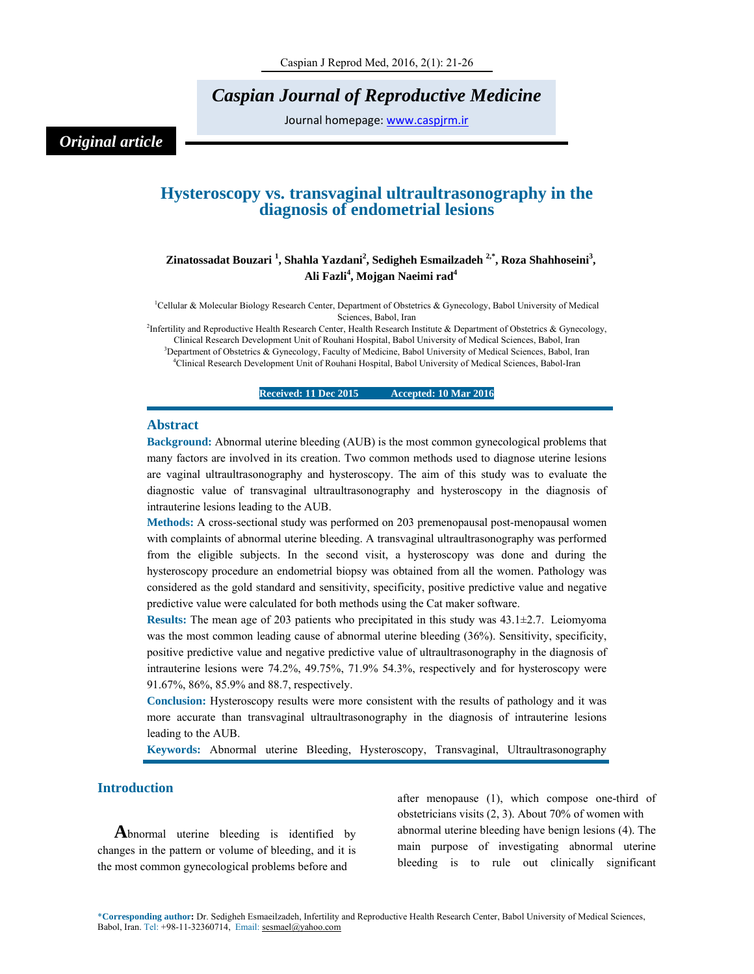# *Caspian Journal of Reproductive Medicine*

Journal homepage: www.caspjrm.ir

# *Original article*

# **Hysteroscopy vs. transvaginal ultraultrasonography in the diagnosis of endometrial lesions**

# Zinatossadat Bouzari <sup>1</sup>, Shahla Yazdani<sup>2</sup>, Sedigheh Esmailzadeh <sup>2,\*</sup>, Roza Shahhoseini<sup>3</sup>, **Ali Fazli<sup>4</sup> , Mojgan Naeimi rad4**

<sup>1</sup>Cellular & Molecular Biology Research Center, Department of Obstetrics & Gynecology, Babol University of Medical Sciences, Babol, Iran<br><sup>2</sup>Infertility and Reproductive Health Research Center, Health Research Institute & Department of Obstetrics & Gynecology,

Clinical Research Development Unit of Rouhani Hospital, Babol University of Medical Sciences, Babol, Iran 3 <sup>3</sup>Department of Obstetrics & Gynecology, Faculty of Medicine, Babol University of Medical Sciences, Babol, Iran

4 Clinical Research Development Unit of Rouhani Hospital, Babol University of Medical Sciences, Babol-Iran

**Received: 11 Dec 2015 Accepted: 10 Mar 2016** 

#### **Abstract**

**Background:** Abnormal uterine bleeding (AUB) is the most common gynecological problems that many factors are involved in its creation. Two common methods used to diagnose uterine lesions are vaginal ultraultrasonography and hysteroscopy. The aim of this study was to evaluate the diagnostic value of transvaginal ultraultrasonography and hysteroscopy in the diagnosis of intrauterine lesions leading to the AUB.

**Methods:** A cross-sectional study was performed on 203 premenopausal post-menopausal women with complaints of abnormal uterine bleeding. A transvaginal ultraultrasonography was performed from the eligible subjects. In the second visit, a hysteroscopy was done and during the hysteroscopy procedure an endometrial biopsy was obtained from all the women. Pathology was considered as the gold standard and sensitivity, specificity, positive predictive value and negative predictive value were calculated for both methods using the Cat maker software.

**Results:** The mean age of 203 patients who precipitated in this study was 43.1±2.7. Leiomyoma was the most common leading cause of abnormal uterine bleeding (36%). Sensitivity, specificity, positive predictive value and negative predictive value of ultraultrasonography in the diagnosis of intrauterine lesions were 74.2%, 49.75%, 71.9% 54.3%, respectively and for hysteroscopy were 91.67%, 86%, 85.9% and 88.7, respectively.

**Conclusion:** Hysteroscopy results were more consistent with the results of pathology and it was more accurate than transvaginal ultraultrasonography in the diagnosis of intrauterine lesions leading to the AUB.

**Keywords:** Abnormal uterine Bleeding, Hysteroscopy, Transvaginal, Ultraultrasonography

# **Introduction**

**A**bnormal uterine bleeding is identified by changes in the pattern or volume of bleeding, and it is the most common gynecological problems before and

after menopause (1), which compose one-third of obstetricians visits (2, 3). About 70% of women with abnormal uterine bleeding have benign lesions (4). The main purpose of investigating abnormal uterine bleeding is to rule out clinically significant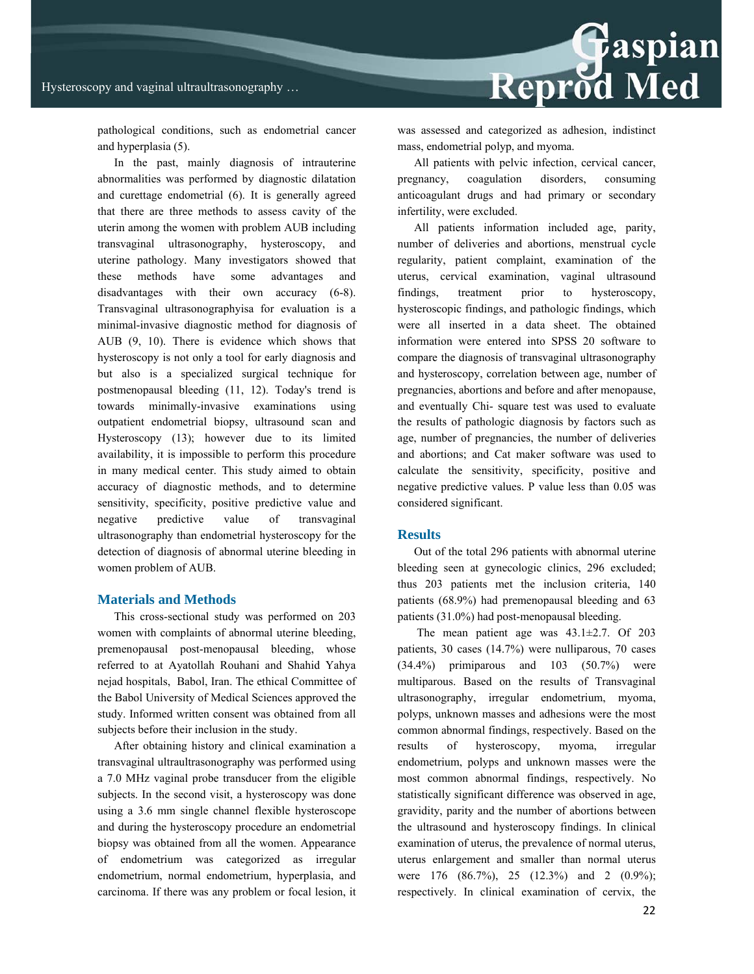

pathological conditions, such as endometrial cancer and hyperplasia (5).

In the past, mainly diagnosis of intrauterine abnormalities was performed by diagnostic dilatation and curettage endometrial (6). It is generally agreed that there are three methods to assess cavity of the uterin among the women with problem AUB including transvaginal ultrasonography, hysteroscopy, and uterine pathology. Many investigators showed that these methods have some advantages and disadvantages with their own accuracy (6-8). Transvaginal ultrasonographyisa for evaluation is a minimal-invasive diagnostic method for diagnosis of AUB (9, 10). There is evidence which shows that hysteroscopy is not only a tool for early diagnosis and but also is a specialized surgical technique for postmenopausal bleeding (11, 12). Today's trend is towards minimally-invasive examinations using outpatient endometrial biopsy, ultrasound scan and Hysteroscopy (13); however due to its limited availability, it is impossible to perform this procedure in many medical center. This study aimed to obtain accuracy of diagnostic methods, and to determine sensitivity, specificity, positive predictive value and negative predictive value of transvaginal ultrasonography than endometrial hysteroscopy for the detection of diagnosis of abnormal uterine bleeding in women problem of AUB.

#### **Materials and Methods**

This cross-sectional study was performed on 203 women with complaints of abnormal uterine bleeding, premenopausal post-menopausal bleeding, whose referred to at Ayatollah Rouhani and Shahid Yahya nejad hospitals, Babol, Iran. The ethical Committee of the Babol University of Medical Sciences approved the study. Informed written consent was obtained from all subjects before their inclusion in the study.

After obtaining history and clinical examination a transvaginal ultraultrasonography was performed using a 7.0 MHz vaginal probe transducer from the eligible subjects. In the second visit, a hysteroscopy was done using a 3.6 mm single channel flexible hysteroscope and during the hysteroscopy procedure an endometrial biopsy was obtained from all the women. Appearance of endometrium was categorized as irregular endometrium, normal endometrium, hyperplasia, and carcinoma. If there was any problem or focal lesion, it was assessed and categorized as adhesion, indistinct mass, endometrial polyp, and myoma.

All patients with pelvic infection, cervical cancer, pregnancy, coagulation disorders, consuming anticoagulant drugs and had primary or secondary infertility, were excluded.

All patients information included age, parity, number of deliveries and abortions, menstrual cycle regularity, patient complaint, examination of the uterus, cervical examination, vaginal ultrasound findings, treatment prior to hysteroscopy, hysteroscopic findings, and pathologic findings, which were all inserted in a data sheet. The obtained information were entered into SPSS 20 software to compare the diagnosis of transvaginal ultrasonography and hysteroscopy, correlation between age, number of pregnancies, abortions and before and after menopause, and eventually Chi- square test was used to evaluate the results of pathologic diagnosis by factors such as age, number of pregnancies, the number of deliveries and abortions; and Cat maker software was used to calculate the sensitivity, specificity, positive and negative predictive values. P value less than 0.05 was considered significant.

#### **Results**

Out of the total 296 patients with abnormal uterine bleeding seen at gynecologic clinics, 296 excluded; thus 203 patients met the inclusion criteria, 140 patients (68.9%) had premenopausal bleeding and 63 patients (31.0%) had post-menopausal bleeding.

 The mean patient age was 43.1±2.7. Of 203 patients, 30 cases (14.7%) were nulliparous, 70 cases (34.4%) primiparous and 103 (50.7%) were multiparous. Based on the results of Transvaginal ultrasonography, irregular endometrium, myoma, polyps, unknown masses and adhesions were the most common abnormal findings, respectively. Based on the results of hysteroscopy, myoma, irregular endometrium, polyps and unknown masses were the most common abnormal findings, respectively. No statistically significant difference was observed in age, gravidity, parity and the number of abortions between the ultrasound and hysteroscopy findings. In clinical examination of uterus, the prevalence of normal uterus, uterus enlargement and smaller than normal uterus were 176 (86.7%), 25 (12.3%) and 2 (0.9%); respectively. In clinical examination of cervix, the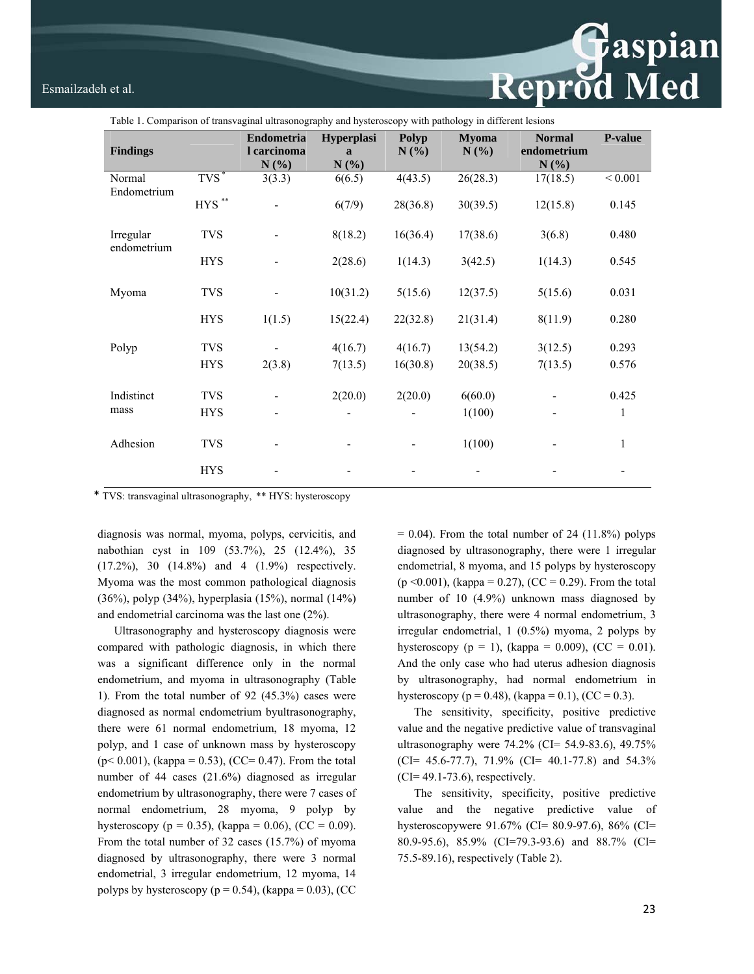# Esmailzadeh et al. Esmailzadeh et al.

| Table 1. Comparison of transvaginal ultrasonography and hysteroscopy with pathology in different lesions |                          |                                      |                                   |              |                      |                                      |                |  |  |  |
|----------------------------------------------------------------------------------------------------------|--------------------------|--------------------------------------|-----------------------------------|--------------|----------------------|--------------------------------------|----------------|--|--|--|
| <b>Findings</b>                                                                                          |                          | Endometria<br>l carcinoma<br>$N(\%)$ | Hyperplasi<br>$\mathbf{a}$<br>N(% | Polyp<br>N(% | <b>Myoma</b><br>N(%) | <b>Normal</b><br>endometrium<br>N(%) | <b>P-value</b> |  |  |  |
| Normal<br>Endometrium                                                                                    | $TVS^*$                  | 3(3.3)                               | 6(6.5)                            | 4(43.5)      | 26(28.3)             | 17(18.5)                             | ${}< 0.001$    |  |  |  |
|                                                                                                          | $\rm{HYS}$ $^{**}$       |                                      | 6(7/9)                            | 28(36.8)     | 30(39.5)             | 12(15.8)                             | 0.145          |  |  |  |
| Irregular<br>endometrium                                                                                 | <b>TVS</b>               |                                      | 8(18.2)                           | 16(36.4)     | 17(38.6)             | 3(6.8)                               | 0.480          |  |  |  |
|                                                                                                          | <b>HYS</b>               |                                      | 2(28.6)                           | 1(14.3)      | 3(42.5)              | 1(14.3)                              | 0.545          |  |  |  |
| Myoma                                                                                                    | <b>TVS</b>               |                                      | 10(31.2)                          | 5(15.6)      | 12(37.5)             | 5(15.6)                              | 0.031          |  |  |  |
|                                                                                                          | <b>HYS</b>               | 1(1.5)                               | 15(22.4)                          | 22(32.8)     | 21(31.4)             | 8(11.9)                              | 0.280          |  |  |  |
| Polyp                                                                                                    | <b>TVS</b>               |                                      | 4(16.7)                           | 4(16.7)      | 13(54.2)             | 3(12.5)                              | 0.293          |  |  |  |
|                                                                                                          | <b>HYS</b>               | 2(3.8)                               | 7(13.5)                           | 16(30.8)     | 20(38.5)             | 7(13.5)                              | 0.576          |  |  |  |
| Indistinct<br>mass                                                                                       | <b>TVS</b><br><b>HYS</b> |                                      | 2(20.0)                           | 2(20.0)      | 6(60.0)<br>1(100)    |                                      | 0.425<br>1     |  |  |  |
| Adhesion                                                                                                 | <b>TVS</b>               |                                      |                                   |              | 1(100)               |                                      | 1              |  |  |  |
|                                                                                                          | <b>HYS</b>               |                                      |                                   |              |                      |                                      |                |  |  |  |

\* TVS: transvaginal ultrasonography, \*\* HYS: hysteroscopy

diagnosis was normal, myoma, polyps, cervicitis, and nabothian cyst in 109 (53.7%), 25 (12.4%), 35 (17.2%), 30 (14.8%) and 4 (1.9%) respectively. Myoma was the most common pathological diagnosis (36%), polyp (34%), hyperplasia (15%), normal (14%) and endometrial carcinoma was the last one (2%).

Ultrasonography and hysteroscopy diagnosis were compared with pathologic diagnosis, in which there was a significant difference only in the normal endometrium, and myoma in ultrasonography (Table 1). From the total number of 92 (45.3%) cases were diagnosed as normal endometrium byultrasonography, there were 61 normal endometrium, 18 myoma, 12 polyp, and 1 case of unknown mass by hysteroscopy  $(p< 0.001)$ , (kappa = 0.53), (CC= 0.47). From the total number of 44 cases (21.6%) diagnosed as irregular endometrium by ultrasonography, there were 7 cases of normal endometrium, 28 myoma, 9 polyp by hysteroscopy (p = 0.35), (kappa = 0.06), (CC = 0.09). From the total number of 32 cases (15.7%) of myoma diagnosed by ultrasonography, there were 3 normal endometrial, 3 irregular endometrium, 12 myoma, 14 polyps by hysteroscopy ( $p = 0.54$ ), (kappa = 0.03), (CC

 $= 0.04$ ). From the total number of 24 (11.8%) polyps diagnosed by ultrasonography, there were 1 irregular endometrial, 8 myoma, and 15 polyps by hysteroscopy  $(p \le 0.001)$ , (kappa = 0.27), (CC = 0.29). From the total number of 10 (4.9%) unknown mass diagnosed by ultrasonography, there were 4 normal endometrium, 3 irregular endometrial, 1 (0.5%) myoma, 2 polyps by hysteroscopy ( $p = 1$ ), (kappa = 0.009), (CC = 0.01). And the only case who had uterus adhesion diagnosis by ultrasonography, had normal endometrium in hysteroscopy ( $p = 0.48$ ), (kappa = 0.1), (CC = 0.3).

The sensitivity, specificity, positive predictive value and the negative predictive value of transvaginal ultrasonography were 74.2% (CI= 54.9-83.6), 49.75% (CI= 45.6-77.7), 71.9% (CI= 40.1-77.8) and 54.3% (CI= 49.1-73.6), respectively.

The sensitivity, specificity, positive predictive value and the negative predictive value of hysteroscopywere 91.67% (CI= 80.9-97.6), 86% (CI= 80.9-95.6), 85.9% (CI=79.3-93.6) and 88.7% (CI= 75.5-89.16), respectively (Table 2).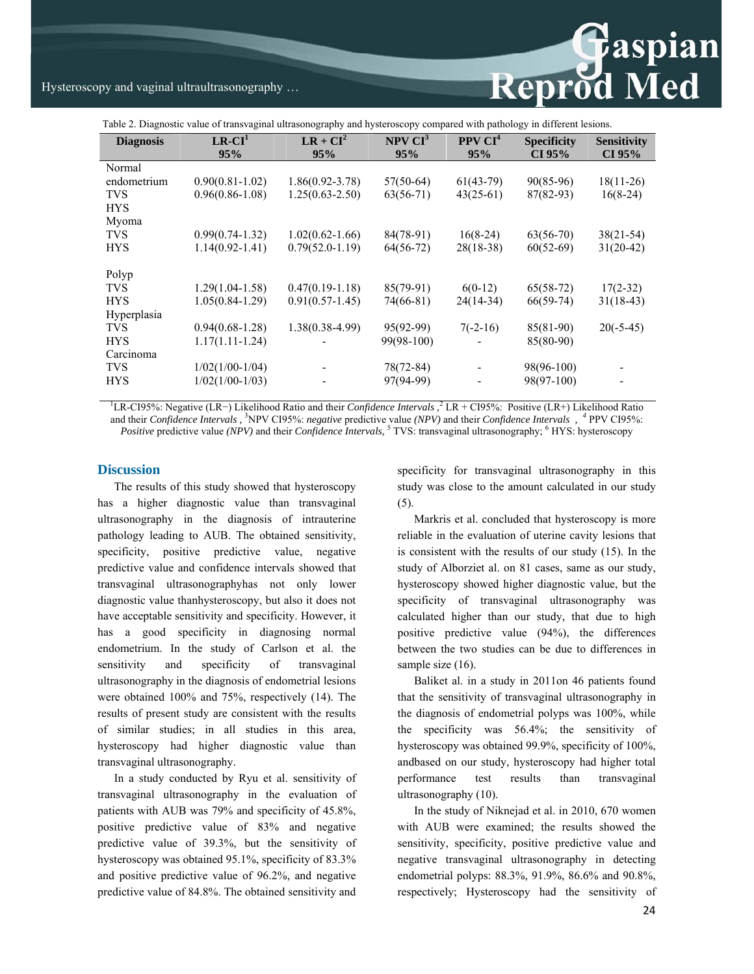**Example 18**<br>Reprod Med

# Hysteroscopy and vaginal ultraultrasonography …

Table 2. Diagnostic value of transvaginal ultrasonography and hysteroscopy compared with pathology in different lesions.

| <b>Diagnosis</b> | $LR-CI1$            | $LR + CI2$          | NPV CI <sup>3</sup> | PPV CI <sup>4</sup>      | <b>Specificity</b> | <b>Sensitivity</b> |
|------------------|---------------------|---------------------|---------------------|--------------------------|--------------------|--------------------|
|                  | 95%                 | 95%                 | 95%                 | 95%                      | CI 95%             | CI 95%             |
| Normal           |                     |                     |                     |                          |                    |                    |
| endometrium      | $0.90(0.81-1.02)$   | $1.86(0.92 - 3.78)$ | $57(50-64)$         | $61(43-79)$              | $90(85-96)$        | $18(11-26)$        |
| <b>TVS</b>       | $0.96(0.86 - 1.08)$ | $1.25(0.63 - 2.50)$ | $63(56-71)$         | $43(25-61)$              | $87(82-93)$        | $16(8-24)$         |
| <b>HYS</b>       |                     |                     |                     |                          |                    |                    |
| Myoma            |                     |                     |                     |                          |                    |                    |
| <b>TVS</b>       | $0.99(0.74 - 1.32)$ | $1.02(0.62 - 1.66)$ | 84(78-91)           | $16(8-24)$               | $63(56-70)$        | $38(21-54)$        |
| <b>HYS</b>       | $1.14(0.92 - 1.41)$ | $0.79(52.0-1.19)$   | $64(56-72)$         | $28(18-38)$              | $60(52-69)$        | $31(20-42)$        |
|                  |                     |                     |                     |                          |                    |                    |
| Polyp            |                     |                     |                     |                          |                    |                    |
| <b>TVS</b>       | $1.29(1.04 - 1.58)$ | $0.47(0.19-1.18)$   | $85(79-91)$         | $6(0-12)$                | $65(58-72)$        | $17(2-32)$         |
| <b>HYS</b>       | $1.05(0.84-1.29)$   | $0.91(0.57-1.45)$   | 74(66-81)           | $24(14-34)$              | $66(59-74)$        | $31(18-43)$        |
| Hyperplasia      |                     |                     |                     |                          |                    |                    |
| <b>TVS</b>       | $0.94(0.68 - 1.28)$ | $1.38(0.38-4.99)$   | 95(92-99)           | $7(-2-16)$               | 85(81-90)          | $20(-5-45)$        |
| <b>HYS</b>       | $1.17(1.11-1.24)$   |                     | 99(98-100)          |                          | 85(80-90)          |                    |
| Carcinoma        |                     |                     |                     |                          |                    |                    |
| <b>TVS</b>       | $1/02(1/00-1/04)$   | -                   | $78(72-84)$         | $\overline{\phantom{a}}$ | 98(96-100)         |                    |
| <b>HYS</b>       | $1/02(1/00-1/03)$   |                     | 97(94-99)           |                          | 98(97-100)         |                    |
|                  |                     |                     |                     |                          |                    |                    |

<sup>1</sup>LR-CI95%: Negative (LR−) Likelihood Ratio and their *Confidence Intervals*,<sup>2</sup> LR + CI95%: Positive (LR+) Likelihood Ratio and their *Confidence Intervals ,* <sup>3</sup> NPV CI95%: *negative* predictive value *(NPV)* and their *Confidence Intervals , <sup>4</sup>* PPV CI95%: *Positive* predictive value *(NPV)* and their *Confidence Intervals*, <sup>5</sup> TVS: transvaginal ultrasonography; <sup>6</sup> HYS: hysteroscopy

### **Discussion**

The results of this study showed that hysteroscopy has a higher diagnostic value than transvaginal ultrasonography in the diagnosis of intrauterine pathology leading to AUB. The obtained sensitivity, specificity, positive predictive value, negative predictive value and confidence intervals showed that transvaginal ultrasonographyhas not only lower diagnostic value thanhysteroscopy, but also it does not have acceptable sensitivity and specificity. However, it has a good specificity in diagnosing normal endometrium. In the study of Carlson et al. the sensitivity and specificity of transvaginal ultrasonography in the diagnosis of endometrial lesions were obtained 100% and 75%, respectively (14). The results of present study are consistent with the results of similar studies; in all studies in this area, hysteroscopy had higher diagnostic value than transvaginal ultrasonography.

In a study conducted by Ryu et al. sensitivity of transvaginal ultrasonography in the evaluation of patients with AUB was 79% and specificity of 45.8%, positive predictive value of 83% and negative predictive value of 39.3%, but the sensitivity of hysteroscopy was obtained 95.1%, specificity of 83.3% and positive predictive value of 96.2%, and negative predictive value of 84.8%. The obtained sensitivity and

specificity for transvaginal ultrasonography in this study was close to the amount calculated in our study (5).

Markris et al. concluded that hysteroscopy is more reliable in the evaluation of uterine cavity lesions that is consistent with the results of our study (15). In the study of Alborziet al. on 81 cases, same as our study, hysteroscopy showed higher diagnostic value, but the specificity of transvaginal ultrasonography was calculated higher than our study, that due to high positive predictive value (94%), the differences between the two studies can be due to differences in sample size  $(16)$ .

Baliket al. in a study in 2011on 46 patients found that the sensitivity of transvaginal ultrasonography in the diagnosis of endometrial polyps was 100%, while the specificity was 56.4%; the sensitivity of hysteroscopy was obtained 99.9%, specificity of 100%, andbased on our study, hysteroscopy had higher total performance test results than transvaginal ultrasonography (10).

In the study of Niknejad et al. in 2010, 670 women with AUB were examined; the results showed the sensitivity, specificity, positive predictive value and negative transvaginal ultrasonography in detecting endometrial polyps: 88.3%, 91.9%, 86.6% and 90.8%, respectively; Hysteroscopy had the sensitivity of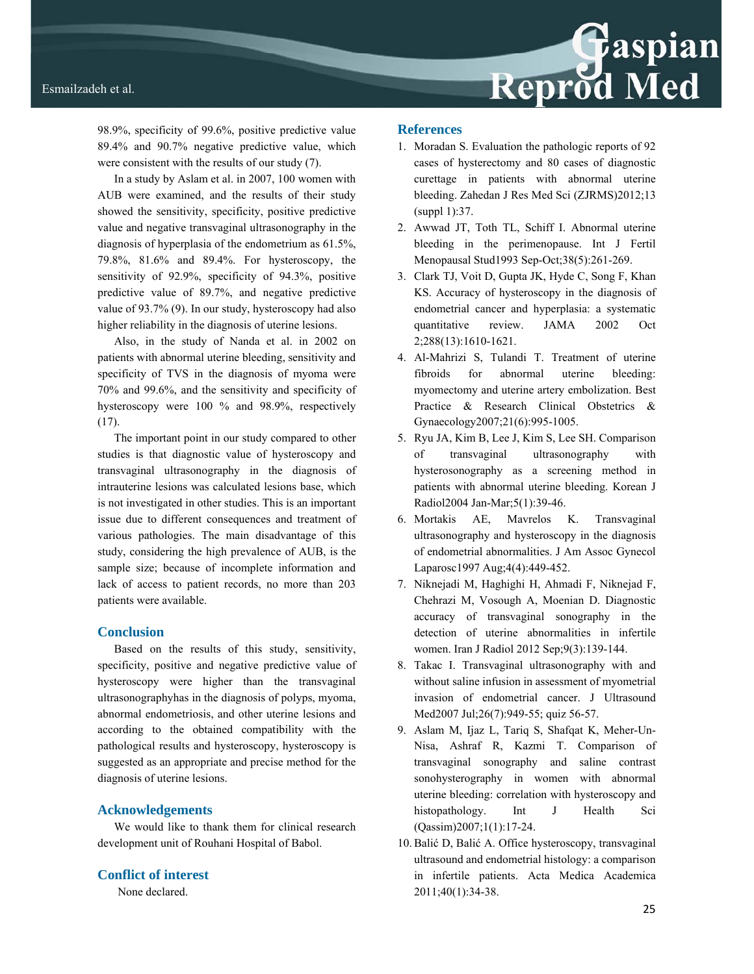

98.9%, specificity of 99.6%, positive predictive value 89.4% and 90.7% negative predictive value, which were consistent with the results of our study (7).

In a study by Aslam et al. in 2007, 100 women with AUB were examined, and the results of their study showed the sensitivity, specificity, positive predictive value and negative transvaginal ultrasonography in the diagnosis of hyperplasia of the endometrium as 61.5%, 79.8%, 81.6% and 89.4%. For hysteroscopy, the sensitivity of 92.9%, specificity of 94.3%, positive predictive value of 89.7%, and negative predictive value of 93.7% (9). In our study, hysteroscopy had also higher reliability in the diagnosis of uterine lesions.

Also, in the study of Nanda et al. in 2002 on patients with abnormal uterine bleeding, sensitivity and specificity of TVS in the diagnosis of myoma were 70% and 99.6%, and the sensitivity and specificity of hysteroscopy were 100 % and 98.9%, respectively (17).

The important point in our study compared to other studies is that diagnostic value of hysteroscopy and transvaginal ultrasonography in the diagnosis of intrauterine lesions was calculated lesions base, which is not investigated in other studies. This is an important issue due to different consequences and treatment of various pathologies. The main disadvantage of this study, considering the high prevalence of AUB, is the sample size; because of incomplete information and lack of access to patient records, no more than 203 patients were available.

## **Conclusion**

Based on the results of this study, sensitivity, specificity, positive and negative predictive value of hysteroscopy were higher than the transvaginal ultrasonographyhas in the diagnosis of polyps, myoma, abnormal endometriosis, and other uterine lesions and according to the obtained compatibility with the pathological results and hysteroscopy, hysteroscopy is suggested as an appropriate and precise method for the diagnosis of uterine lesions.

### **Acknowledgements**

We would like to thank them for clinical research development unit of Rouhani Hospital of Babol.

## **Conflict of interest**

None declared.

# **References**

- 1. Moradan S. Evaluation the pathologic reports of 92 cases of hysterectomy and 80 cases of diagnostic curettage in patients with abnormal uterine bleeding. Zahedan J Res Med Sci (ZJRMS)2012;13 (suppl 1):37.
- 2. Awwad JT, Toth TL, Schiff I. Abnormal uterine bleeding in the perimenopause. Int J Fertil Menopausal Stud1993 Sep-Oct;38(5):261-269.
- 3. Clark TJ, Voit D, Gupta JK, Hyde C, Song F, Khan KS. Accuracy of hysteroscopy in the diagnosis of endometrial cancer and hyperplasia: a systematic quantitative review. JAMA 2002 Oct 2;288(13):1610-1621.
- 4. Al-Mahrizi S, Tulandi T. Treatment of uterine fibroids for abnormal uterine bleeding: myomectomy and uterine artery embolization. Best Practice & Research Clinical Obstetrics & Gynaecology2007;21(6):995-1005.
- 5. Ryu JA, Kim B, Lee J, Kim S, Lee SH. Comparison of transvaginal ultrasonography with hysterosonography as a screening method in patients with abnormal uterine bleeding. Korean J Radiol2004 Jan-Mar;5(1):39-46.
- 6. Mortakis AE, Mavrelos K. Transvaginal ultrasonography and hysteroscopy in the diagnosis of endometrial abnormalities. J Am Assoc Gynecol Laparosc1997 Aug;4(4):449-452.
- 7. Niknejadi M, Haghighi H, Ahmadi F, Niknejad F, Chehrazi M, Vosough A, Moenian D. Diagnostic accuracy of transvaginal sonography in the detection of uterine abnormalities in infertile women. Iran J Radiol 2012 Sep;9(3):139-144.
- 8. Takac I. Transvaginal ultrasonography with and without saline infusion in assessment of myometrial invasion of endometrial cancer. J Ultrasound Med2007 Jul; 26(7): 949-55; quiz 56-57.
- 9. Aslam M, Ijaz L, Tariq S, Shafqat K, Meher-Un-Nisa, Ashraf R, Kazmi T. Comparison of transvaginal sonography and saline contrast sonohysterography in women with abnormal uterine bleeding: correlation with hysteroscopy and histopathology. Int J Health Sci (Qassim)2007;1(1):17-24.
- 10. Balić D, Balić A. Office hysteroscopy, transvaginal ultrasound and endometrial histology: a comparison in infertile patients. Acta Medica Academica 2011;40(1):34-38.